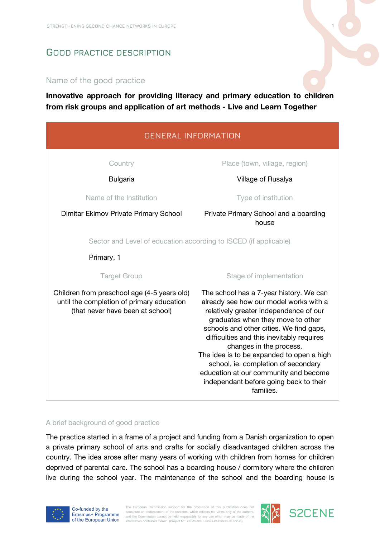# **GOOD PRACTICE DESCRIPTION**

## Name of the good practice

**Innovative approach for providing literacy and primary education to children from risk groups and application of art methods - Live and Learn Together**

| <b>GENERAL INFORMATION</b>                                                                                                   |                                                                                                                                                                                                                                                                                                                                                                                                                                                                         |  |  |  |  |  |  |
|------------------------------------------------------------------------------------------------------------------------------|-------------------------------------------------------------------------------------------------------------------------------------------------------------------------------------------------------------------------------------------------------------------------------------------------------------------------------------------------------------------------------------------------------------------------------------------------------------------------|--|--|--|--|--|--|
| Country                                                                                                                      | Place (town, village, region)                                                                                                                                                                                                                                                                                                                                                                                                                                           |  |  |  |  |  |  |
| <b>Bulgaria</b>                                                                                                              | Village of Rusalya                                                                                                                                                                                                                                                                                                                                                                                                                                                      |  |  |  |  |  |  |
| Name of the Institution                                                                                                      | Type of institution                                                                                                                                                                                                                                                                                                                                                                                                                                                     |  |  |  |  |  |  |
| Dimitar Ekimov Private Primary School                                                                                        | Private Primary School and a boarding<br>house                                                                                                                                                                                                                                                                                                                                                                                                                          |  |  |  |  |  |  |
| Sector and Level of education according to ISCED (if applicable)                                                             |                                                                                                                                                                                                                                                                                                                                                                                                                                                                         |  |  |  |  |  |  |
| Primary, 1                                                                                                                   |                                                                                                                                                                                                                                                                                                                                                                                                                                                                         |  |  |  |  |  |  |
| <b>Target Group</b>                                                                                                          | Stage of implementation                                                                                                                                                                                                                                                                                                                                                                                                                                                 |  |  |  |  |  |  |
| Children from preschool age (4-5 years old)<br>until the completion of primary education<br>(that never have been at school) | The school has a 7-year history. We can<br>already see how our model works with a<br>relatively greater independence of our<br>graduates when they move to other<br>schools and other cities. We find gaps,<br>difficulties and this inevitably requires<br>changes in the process.<br>The idea is to be expanded to open a high<br>school, ie. completion of secondary<br>education at our community and become<br>independant before going back to their<br>families. |  |  |  |  |  |  |

#### A brief background of good practice

The practice started in a frame of a project and funding from a Danish organization to open a private primary school of arts and crafts for socially disadvantaged children across the country. The idea arose after many years of working with children from homes for children deprived of parental care. The school has a boarding house / dormitory where the children live during the school year. The maintenance of the school and the boarding house is



The European Commission support for the production of this publication does not constitute an endorsement of the contents, which reflects the views only of the authors,<br>and the Commission cannot be held responsible for any use which may be made of the<br>information contained therein. (Project N°.: @1635



**S2CENE**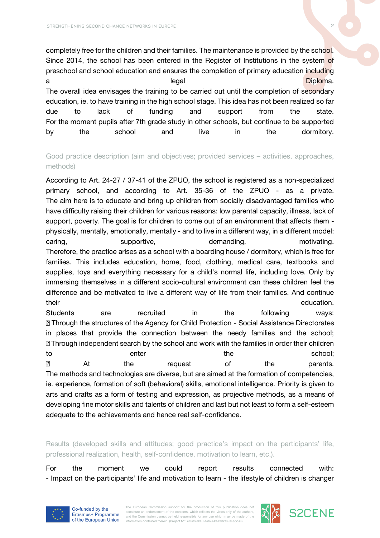completely free for the children and their families. The maintenance is provided by the school. Since 2014, the school has been entered in the Register of Institutions in the system of preschool and school education and ensures the completion of primary education including a legal distribution of the set of the set of the set of the set of the set of the set of the set of the set o The overall idea envisages the training to be carried out until the completion of secondary education, ie. to have training in the high school stage. This idea has not been realized so far due to lack of funding and support from the state. For the moment pupils after 7th grade study in other schools, but continue to be supported by the school and live in the dormitory.

Good practice description (aim and objectives; provided services – activities, approaches, methods)

According to Art. 24-27 / 37-41 of the ZPUO, the school is registered as a non-specialized primary school, and according to Art. 35-36 of the ZPUO - as a private. The aim here is to educate and bring up children from socially disadvantaged families who have difficulty raising their children for various reasons: low parental capacity, illness, lack of support, poverty. The goal is for children to come out of an environment that affects them physically, mentally, emotionally, mentally - and to live in a different way, in a different model: caring, buybortive, the demanding, the motivating. Therefore, the practice arises as a school with a boarding house / dormitory, which is free for families. This includes education, home, food, clothing, medical care, textbooks and supplies, toys and everything necessary for a child's normal life, including love. Only by immersing themselves in a different socio-cultural environment can these children feel the difference and be motivated to live a different way of life from their families. And continue their education.

Students are recruited in the following ways: Through the structures of the Agency for Child Protection - Social Assistance Directorates in places that provide the connection between the needy families and the school; **Through independent search by the school and work with the families in order their children** to the school; the school; the school; the school; the school; the school; the school; the school; the school;  $\overline{?}$ At the request of the parents. The methods and technologies are diverse, but are aimed at the formation of competencies, ie. experience, formation of soft (behavioral) skills, emotional intelligence. Priority is given to arts and crafts as a form of testing and expression, as projective methods, as a means of developing fine motor skills and talents of children and last but not least to form a self-esteem adequate to the achievements and hence real self-confidence.

Results (developed skills and attitudes; good practice's impact on the participants' life, professional realization, health, self-confidence, motivation to learn, etc.).

For the moment we could report results connected with: - Impact on the participants' life and motivation to learn - the lifestyle of children is changer



The European Commission support for the production of this publication does no constitute an endorsement of the contents, which reflects the views only of the authors and the Commission cannot be held responsible for any use which may be made of the information contained therein. (Project Nº.: 621535-EPP-1-2020-1-PT-EPPKA3-IPI-SOC-IN).



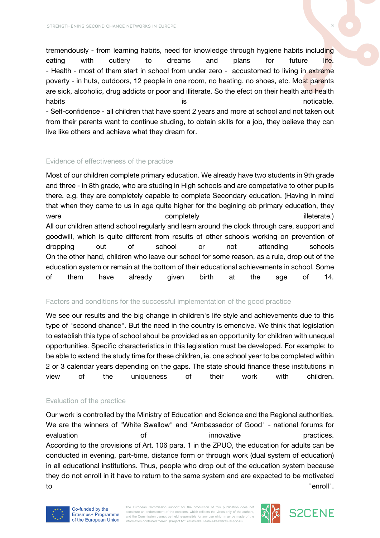tremendously - from learning habits, need for knowledge through hygiene habits including eating with cutlery to dreams and plans for future life. - Health - most of them start in school from under zero - accustomed to living in extreme poverty - in huts, outdoors, 12 people in one room, no heating, no shoes, etc. Most parents are sick, alcoholic, drug addicts or poor and illiterate. So the efect on their health and health habits is is the noticable. - Self-confidence - all children that have spent 2 years and more at school and not taken out from their parents want to continue studing, to obtain skills for a job, they believe thay can live like others and achieve what they dream for.

### Evidence of effectiveness of the practice

Most of our children complete primary education. We already have two students in 9th grade and three - in 8th grade, who are studing in High schools and are competative to other pupils there. e.g. they are completely capable to complete Secondary education. (Having in mind that when they came to us in age quite higher for the begining ob primary education, they were the completely completely the complete of the completely the completely completely the complete of the complete of the complete of the complete of the complete of the complete of the complete of the complete of the co All our children attend school regularly and learn around the clock through care, support and goodwill, which is quite different from results of other schools working on prevention of dropping out of school or not attending schools On the other hand, children who leave our school for some reason, as a rule, drop out of the education system or remain at the bottom of their educational achievements in school. Some of them have already given birth at the age of 14.

### Factors and conditions for the successful implementation of the good practice

We see our results and the big change in children's life style and achievements due to this type of "second chance". But the need in the country is emencive. We think that legislation to establish this type of school shoul be provided as an opportunity for children with unequal opportunities. Specific characteristics in this legislation must be developed. For example: to be able to extend the study time for these children, ie. one school year to be completed within 2 or 3 calendar years depending on the gaps. The state should finance these institutions in view of the uniqueness of their work with children.

### Evaluation of the practice

Our work is controlled by the Ministry of Education and Science and the Regional authorities. We are the winners of "White Swallow" and "Ambassador of Good" - national forums for evaluation **of** of innovative **innovative** practices. According to the provisions of Art. 106 para. 1 in the ZPUO, the education for adults can be conducted in evening, part-time, distance form or through work (dual system of education) in all educational institutions. Thus, people who drop out of the education system because they do not enroll in it have to return to the same system and are expected to be motivated to "enroll".



The European Commission support for the production of this publication does no constitute an endorsement of the contents, which reflects the views only of the authors and the Commission cannot be held responsible for any use which may be made of the information contained therein. (Project Nº.: 621535-EPP-1-2020-1-PT-EPPKA3-IPI-SOC-IN).



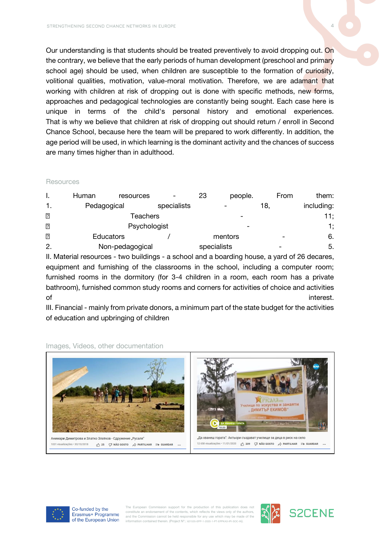Our understanding is that students should be treated preventively to avoid dropping out. On the contrary, we believe that the early periods of human development (preschool and primary school age) should be used, when children are susceptible to the formation of curiosity, volitional qualities, motivation, value-moral motivation. Therefore, we are adamant that working with children at risk of dropping out is done with specific methods, new forms, approaches and pedagogical technologies are constantly being sought. Each case here is unique in terms of the child's personal history and emotional experiences. That is why we believe that children at risk of dropping out should return / enroll in Second Chance School, because here the team will be prepared to work differently. In addition, the age period will be used, in which learning is the dominant activity and the chances of success are many times higher than in adulthood.

### Resources

|                | Human           | resources        |             | 23      | people.                  | From | them:      |
|----------------|-----------------|------------------|-------------|---------|--------------------------|------|------------|
|                | Pedagogical     |                  | specialists |         |                          | 18.  | including: |
| $\overline{2}$ | Teachers        |                  |             |         |                          |      | 11;        |
| $\overline{?}$ | Psychologist    |                  |             |         | $\overline{\phantom{a}}$ |      | 1;         |
| $\overline{2}$ |                 | <b>Educators</b> |             | mentors |                          |      | 6.         |
| 2.             | Non-pedagogical |                  | specialists |         |                          | 5.   |            |

II. Material resources - two buildings - a school and a boarding house, a yard of 26 decares, equipment and furnishing of the classrooms in the school, including a computer room; furnished rooms in the dormitory (for 3-4 children in a room, each room has a private bathroom), furnished common study rooms and corners for activities of choice and activities of **interest.** 

III. Financial - mainly from private donors, a minimum part of the state budget for the activities of education and upbringing of children



#### Images, Videos, other documentation



Co-funded by the Erasmus+ Programme of the European Union

The European Commission support for the production of this publication does no constitute an endorsement of the contents, which reflects the views only of the authors and the Commission cannot be held responsible for any use which may be made of the information contained therein. (Project Nº.: 621535-EPP-1-2020-1-PT-EPPKA3-IPI-SOC-IN).